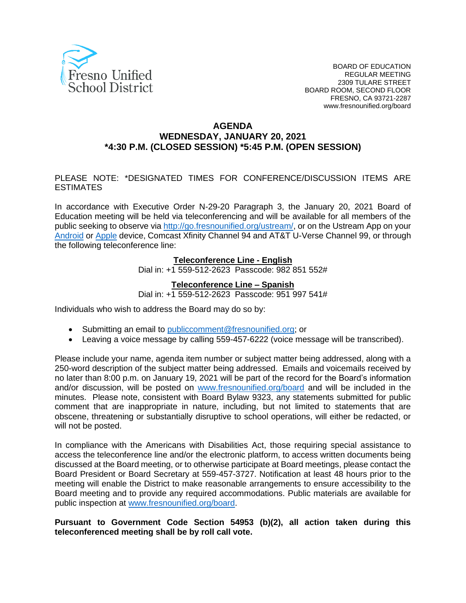

#### **AGENDA WEDNESDAY, JANUARY 20, 2021 \*4:30 P.M. (CLOSED SESSION) \*5:45 P.M. (OPEN SESSION)**

#### PLEASE NOTE: \*DESIGNATED TIMES FOR CONFERENCE/DISCUSSION ITEMS ARE ESTIMATES

In accordance with Executive Order N-29-20 Paragraph 3, the January 20, 2021 Board of Education meeting will be held via teleconferencing and will be available for all members of the public seeking to observe via [http://go.fresnounified.org/ustream/,](http://go.fresnounified.org/ustream/) or on the Ustream App on your [Android](https://play.google.com/store/apps/details?id=tv.ustream.ustream&hl=en_US) or [Apple](https://itunes.apple.com/us/app/ustream/id301520250?mt=8) device, Comcast Xfinity Channel 94 and AT&T U-Verse Channel 99, or through the following teleconference line:

#### **Teleconference Line - English**

Dial in: +1 559-512-2623 Passcode: 982 851 552#

#### **Teleconference Line – Spanish**

Dial in: +1 559-512-2623 Passcode: 951 997 541#

Individuals who wish to address the Board may do so by:

- Submitting an email to [publiccomment@fresnounified.org;](mailto:publiccomment@fresnounified.org) or
- Leaving a voice message by calling 559-457-6222 (voice message will be transcribed).

Please include your name, agenda item number or subject matter being addressed, along with a 250-word description of the subject matter being addressed. Emails and voicemails received by no later than 8:00 p.m. on January 19, 2021 will be part of the record for the Board's information and/or discussion, will be posted on [www.fresnounified.org/board](http://www.fresnounified.org/board) and will be included in the minutes. Please note, consistent with Board Bylaw 9323, any statements submitted for public comment that are inappropriate in nature, including, but not limited to statements that are obscene, threatening or substantially disruptive to school operations, will either be redacted, or will not be posted.

In compliance with the Americans with Disabilities Act, those requiring special assistance to access the teleconference line and/or the electronic platform, to access written documents being discussed at the Board meeting, or to otherwise participate at Board meetings, please contact the Board President or Board Secretary at 559-457-3727. Notification at least 48 hours prior to the meeting will enable the District to make reasonable arrangements to ensure accessibility to the Board meeting and to provide any required accommodations. Public materials are available for public inspection at [www.fresnounified.org/board.](http://www.fresnounified.org/board)

#### **Pursuant to Government Code Section 54953 (b)(2), all action taken during this teleconferenced meeting shall be by roll call vote.**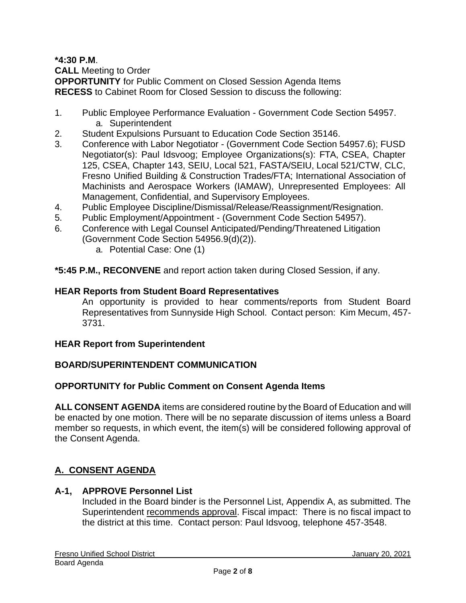#### **\*4:30 P.M**. **CALL** Meeting to Order **OPPORTUNITY** for Public Comment on Closed Session Agenda Items **RECESS** to Cabinet Room for Closed Session to discuss the following:

- 1. Public Employee Performance Evaluation Government Code Section 54957. a. Superintendent
- 2. Student Expulsions Pursuant to Education Code Section 35146.
- 3. Conference with Labor Negotiator (Government Code Section 54957.6); FUSD Negotiator(s): Paul Idsvoog; Employee Organizations(s): FTA, CSEA, Chapter 125, CSEA, Chapter 143, SEIU, Local 521, FASTA/SEIU, Local 521/CTW, CLC, Fresno Unified Building & Construction Trades/FTA; International Association of Machinists and Aerospace Workers (IAMAW), Unrepresented Employees: All Management, Confidential, and Supervisory Employees.
- 4. Public Employee Discipline/Dismissal/Release/Reassignment/Resignation.
- 5. Public Employment/Appointment (Government Code Section 54957).
- 6. Conference with Legal Counsel Anticipated/Pending/Threatened Litigation (Government Code Section 54956.9(d)(2)).
	- a. Potential Case: One (1)

**\*5:45 P.M., RECONVENE** and report action taken during Closed Session, if any.

#### **HEAR Reports from Student Board Representatives**

An opportunity is provided to hear comments/reports from Student Board Representatives from Sunnyside High School. Contact person: Kim Mecum, 457- 3731.

#### **HEAR Report from Superintendent**

#### **BOARD/SUPERINTENDENT COMMUNICATION**

#### **OPPORTUNITY for Public Comment on Consent Agenda Items**

**ALL CONSENT AGENDA** items are considered routine by the Board of Education and will be enacted by one motion. There will be no separate discussion of items unless a Board member so requests, in which event, the item(s) will be considered following approval of the Consent Agenda.

# **A. CONSENT AGENDA**

#### **A-1, APPROVE Personnel List**

Included in the Board binder is the Personnel List, Appendix A, as submitted. The Superintendent recommends approval. Fiscal impact: There is no fiscal impact to the district at this time. Contact person: Paul Idsvoog, telephone 457-3548.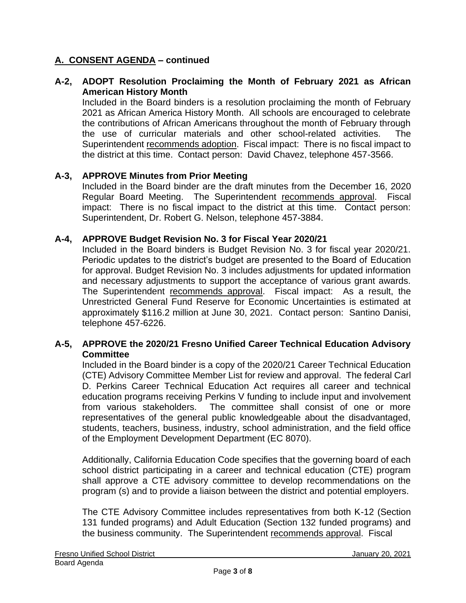## **A-2, ADOPT Resolution Proclaiming the Month of February 2021 as African American History Month**

Included in the Board binders is a resolution proclaiming the month of February 2021 as African America History Month. All schools are encouraged to celebrate the contributions of African Americans throughout the month of February through the use of curricular materials and other school-related activities. The Superintendent recommends adoption. Fiscal impact: There is no fiscal impact to the district at this time. Contact person: David Chavez, telephone 457-3566.

### **A-3, APPROVE Minutes from Prior Meeting**

Included in the Board binder are the draft minutes from the December 16, 2020 Regular Board Meeting. The Superintendent recommends approval. Fiscal impact: There is no fiscal impact to the district at this time. Contact person: Superintendent, Dr. Robert G. Nelson, telephone 457-3884.

#### **A-4, APPROVE Budget Revision No. 3 for Fiscal Year 2020/21**

Included in the Board binders is Budget Revision No. 3 for fiscal year 2020/21. Periodic updates to the district's budget are presented to the Board of Education for approval. Budget Revision No. 3 includes adjustments for updated information and necessary adjustments to support the acceptance of various grant awards. The Superintendent recommends approval. Fiscal impact: As a result, the Unrestricted General Fund Reserve for Economic Uncertainties is estimated at approximately \$116.2 million at June 30, 2021. Contact person: Santino Danisi, telephone 457-6226.

### **A-5, APPROVE the 2020/21 Fresno Unified Career Technical Education Advisory Committee**

Included in the Board binder is a copy of the 2020/21 Career Technical Education (CTE) Advisory Committee Member List for review and approval. The federal Carl D. Perkins Career Technical Education Act requires all career and technical education programs receiving Perkins V funding to include input and involvement from various stakeholders. The committee shall consist of one or more representatives of the general public knowledgeable about the disadvantaged, students, teachers, business, industry, school administration, and the field office of the Employment Development Department (EC 8070).

Additionally, California Education Code specifies that the governing board of each school district participating in a career and technical education (CTE) program shall approve a CTE advisory committee to develop recommendations on the program (s) and to provide a liaison between the district and potential employers.

The CTE Advisory Committee includes representatives from both K-12 (Section 131 funded programs) and Adult Education (Section 132 funded programs) and the business community. The Superintendent recommends approval. Fiscal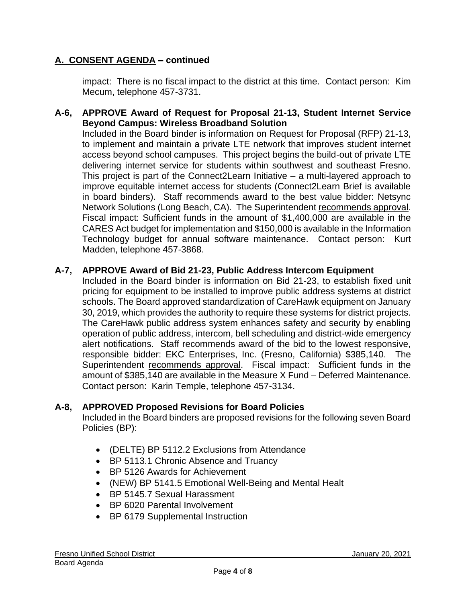impact: There is no fiscal impact to the district at this time. Contact person: Kim Mecum, telephone 457-3731.

### **A-6, APPROVE Award of Request for Proposal 21-13, Student Internet Service Beyond Campus: Wireless Broadband Solution**

Included in the Board binder is information on Request for Proposal (RFP) 21-13, to implement and maintain a private LTE network that improves student internet access beyond school campuses. This project begins the build-out of private LTE delivering internet service for students within southwest and southeast Fresno. This project is part of the Connect2Learn Initiative – a multi-layered approach to improve equitable internet access for students (Connect2Learn Brief is available in board binders). Staff recommends award to the best value bidder: Netsync Network Solutions (Long Beach, CA). The Superintendent recommends approval. Fiscal impact: Sufficient funds in the amount of \$1,400,000 are available in the CARES Act budget for implementation and \$150,000 is available in the Information Technology budget for annual software maintenance. Contact person: Kurt Madden, telephone 457-3868.

### **A-7, APPROVE Award of Bid 21-23, Public Address Intercom Equipment**

Included in the Board binder is information on Bid 21-23, to establish fixed unit pricing for equipment to be installed to improve public address systems at district schools. The Board approved standardization of CareHawk equipment on January 30, 2019, which provides the authority to require these systems for district projects. The CareHawk public address system enhances safety and security by enabling operation of public address, intercom, bell scheduling and district-wide emergency alert notifications. Staff recommends award of the bid to the lowest responsive, responsible bidder: EKC Enterprises, Inc. (Fresno, California) \$385,140. The Superintendent recommends approval. Fiscal impact: Sufficient funds in the amount of \$385,140 are available in the Measure X Fund – Deferred Maintenance. Contact person: Karin Temple, telephone 457-3134.

#### **A-8, APPROVED Proposed Revisions for Board Policies**

Included in the Board binders are proposed revisions for the following seven Board Policies (BP):

- (DELTE) BP 5112.2 Exclusions from Attendance
- BP 5113.1 Chronic Absence and Truancy
- BP 5126 Awards for Achievement
- (NEW) BP 5141.5 Emotional Well-Being and Mental Healt
- BP 5145.7 Sexual Harassment
- BP 6020 Parental Involvement
- BP 6179 Supplemental Instruction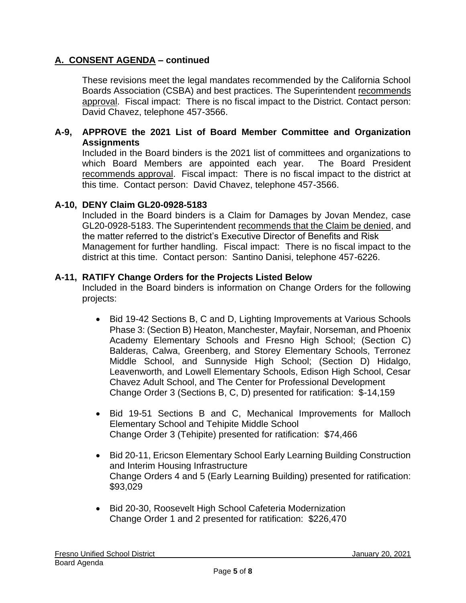These revisions meet the legal mandates recommended by the California School Boards Association (CSBA) and best practices. The Superintendent recommends approval. Fiscal impact: There is no fiscal impact to the District. Contact person: David Chavez, telephone 457-3566.

### **A-9, APPROVE the 2021 List of Board Member Committee and Organization Assignments**

Included in the Board binders is the 2021 list of committees and organizations to which Board Members are appointed each year. The Board President recommends approval. Fiscal impact: There is no fiscal impact to the district at this time. Contact person: David Chavez, telephone 457-3566.

### **A-10, DENY Claim GL20-0928-5183**

Included in the Board binders is a Claim for Damages by Jovan Mendez, case GL20-0928-5183. The Superintendent recommends that the Claim be denied, and the matter referred to the district's Executive Director of Benefits and Risk Management for further handling. Fiscal impact: There is no fiscal impact to the district at this time. Contact person: Santino Danisi, telephone 457-6226.

#### **A-11, RATIFY Change Orders for the Projects Listed Below**

Included in the Board binders is information on Change Orders for the following projects:

- Bid 19-42 Sections B, C and D, Lighting Improvements at Various Schools Phase 3: (Section B) Heaton, Manchester, Mayfair, Norseman, and Phoenix Academy Elementary Schools and Fresno High School; (Section C) Balderas, Calwa, Greenberg, and Storey Elementary Schools, Terronez Middle School, and Sunnyside High School; (Section D) Hidalgo, Leavenworth, and Lowell Elementary Schools, Edison High School, Cesar Chavez Adult School, and The Center for Professional Development Change Order 3 (Sections B, C, D) presented for ratification: \$-14,159
- Bid 19-51 Sections B and C, Mechanical Improvements for Malloch Elementary School and Tehipite Middle School Change Order 3 (Tehipite) presented for ratification: \$74,466
- Bid 20-11, Ericson Elementary School Early Learning Building Construction and Interim Housing Infrastructure Change Orders 4 and 5 (Early Learning Building) presented for ratification: \$93,029
- Bid 20-30, Roosevelt High School Cafeteria Modernization Change Order 1 and 2 presented for ratification: \$226,470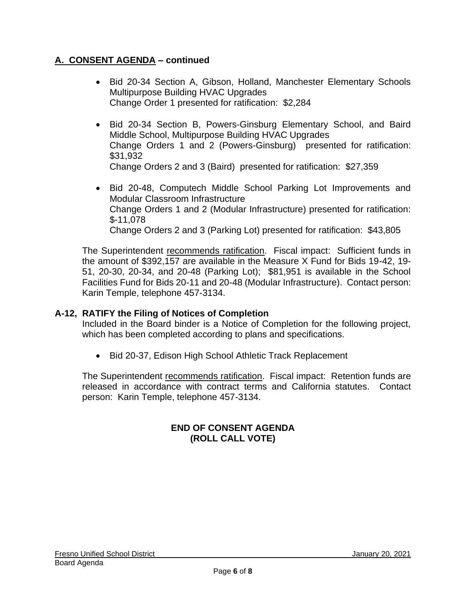- Bid 20-34 Section A, Gibson, Holland, Manchester Elementary Schools Multipurpose Building HVAC Upgrades Change Order 1 presented for ratification: \$2,284
- Bid 20-34 Section B, Powers-Ginsburg Elementary School, and Baird Middle School, Multipurpose Building HVAC Upgrades Change Orders 1 and 2 (Powers-Ginsburg) presented for ratification: \$31,932 Change Orders 2 and 3 (Baird) presented for ratification: \$27,359
- Bid 20-48, Computech Middle School Parking Lot Improvements and Modular Classroom Infrastructure Change Orders 1 and 2 (Modular Infrastructure) presented for ratification: \$-11,078 Change Orders 2 and 3 (Parking Lot) presented for ratification: \$43,805

The Superintendent recommends ratification. Fiscal impact: Sufficient funds in the amount of \$392,157 are available in the Measure X Fund for Bids 19-42, 19- 51, 20-30, 20-34, and 20-48 (Parking Lot); \$81,951 is available in the School Facilities Fund for Bids 20-11 and 20-48 (Modular Infrastructure). Contact person: Karin Temple, telephone 457-3134.

# **A-12, RATIFY the Filing of Notices of Completion**

Included in the Board binder is a Notice of Completion for the following project, which has been completed according to plans and specifications.

• Bid 20-37, Edison High School Athletic Track Replacement

The Superintendent recommends ratification. Fiscal impact: Retention funds are released in accordance with contract terms and California statutes. Contact person: Karin Temple, telephone 457-3134.

# **END OF CONSENT AGENDA (ROLL CALL VOTE)**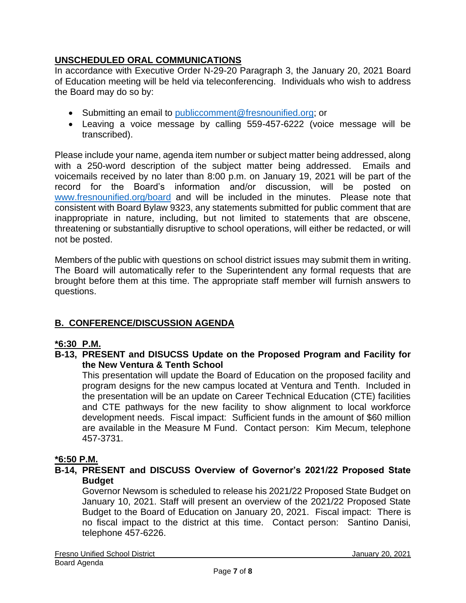# **UNSCHEDULED ORAL COMMUNICATIONS**

In accordance with Executive Order N-29-20 Paragraph 3, the January 20, 2021 Board of Education meeting will be held via teleconferencing. Individuals who wish to address the Board may do so by:

- Submitting an email to [publiccomment@fresnounified.org;](mailto:publiccomment@fresnounified.org) or
- Leaving a voice message by calling 559-457-6222 (voice message will be transcribed).

Please include your name, agenda item number or subject matter being addressed, along with a 250-word description of the subject matter being addressed. Emails and voicemails received by no later than 8:00 p.m. on January 19, 2021 will be part of the record for the Board's information and/or discussion, will be posted on [www.fresnounified.org/board](http://www.fresnounified.org/board) and will be included in the minutes. Please note that consistent with Board Bylaw 9323, any statements submitted for public comment that are inappropriate in nature, including, but not limited to statements that are obscene, threatening or substantially disruptive to school operations, will either be redacted, or will not be posted.

Members of the public with questions on school district issues may submit them in writing. The Board will automatically refer to the Superintendent any formal requests that are brought before them at this time. The appropriate staff member will furnish answers to questions.

# **B. CONFERENCE/DISCUSSION AGENDA**

# **\*6:30 P.M.**

**B-13, PRESENT and DISUCSS Update on the Proposed Program and Facility for the New Ventura & Tenth School**

This presentation will update the Board of Education on the proposed facility and program designs for the new campus located at Ventura and Tenth. Included in the presentation will be an update on Career Technical Education (CTE) facilities and CTE pathways for the new facility to show alignment to local workforce development needs. Fiscal impact: Sufficient funds in the amount of \$60 million are available in the Measure M Fund. Contact person: Kim Mecum, telephone 457-3731.

# **\*6:50 P.M.**

# **B-14, PRESENT and DISCUSS Overview of Governor's 2021/22 Proposed State Budget**

Governor Newsom is scheduled to release his 2021/22 Proposed State Budget on January 10, 2021. Staff will present an overview of the 2021/22 Proposed State Budget to the Board of Education on January 20, 2021. Fiscal impact: There is no fiscal impact to the district at this time. Contact person: Santino Danisi, telephone 457-6226.